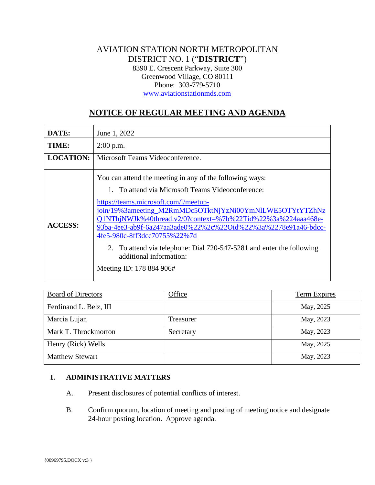# AVIATION STATION NORTH METROPOLITAN DISTRICT NO. 1 ("**DISTRICT**") 8390 E. Crescent Parkway, Suite 300 Greenwood Village, CO 80111 Phone: 303-779-5710 [www.aviationstationmds.com](http://www.aviationstationmds.com/)

# **NOTICE OF REGULAR MEETING AND AGENDA**

| DATE:            | June 1, 2022                                                                                                                                                                                                                                                                                                                                                                                                                                                                                                         |
|------------------|----------------------------------------------------------------------------------------------------------------------------------------------------------------------------------------------------------------------------------------------------------------------------------------------------------------------------------------------------------------------------------------------------------------------------------------------------------------------------------------------------------------------|
| TIME:            | $2:00$ p.m.                                                                                                                                                                                                                                                                                                                                                                                                                                                                                                          |
| <b>LOCATION:</b> | Microsoft Teams Videoconference.                                                                                                                                                                                                                                                                                                                                                                                                                                                                                     |
| <b>ACCESS:</b>   | You can attend the meeting in any of the following ways:<br>1. To attend via Microsoft Teams Videoconference:<br>https://teams.microsoft.com/l/meetup-<br>join/19%3ameeting_M2RmMDc5OTktNjYzNi00YmNlLWE5OTYtYTZhNz<br>Q1NThjNWJk%40thread.v2/0?context=%7b%22Tid%22%3a%224aaa468e-<br>93ba-4ee3-ab9f-6a247aa3ade0%22%2c%22Oid%22%3a%2278e91a46-bdcc-<br>4fe5-980c-8ff3dcc70755%22%7d<br>2. To attend via telephone: Dial 720-547-5281 and enter the following<br>additional information:<br>Meeting ID: 178 884 906# |

| <b>Board of Directors</b> | Office    | Term Expires |
|---------------------------|-----------|--------------|
| Ferdinand L. Belz, III    |           | May, 2025    |
| Marcia Lujan              | Treasurer | May, 2023    |
| Mark T. Throckmorton      | Secretary | May, 2023    |
| Henry (Rick) Wells        |           | May, 2025    |
| <b>Matthew Stewart</b>    |           | May, 2023    |

# **I. ADMINISTRATIVE MATTERS**

- A. Present disclosures of potential conflicts of interest.
- B. Confirm quorum, location of meeting and posting of meeting notice and designate 24-hour posting location. Approve agenda.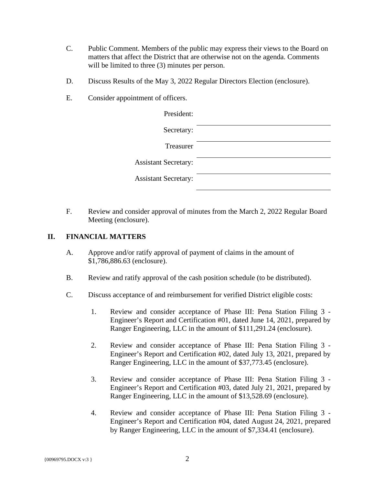- C. Public Comment. Members of the public may express their views to the Board on matters that affect the District that are otherwise not on the agenda. Comments will be limited to three  $(3)$  minutes per person.
- D. Discuss Results of the May 3, 2022 Regular Directors Election (enclosure).
- E. Consider appointment of officers.

| President:                  |  |
|-----------------------------|--|
| Secretary:                  |  |
| Treasurer                   |  |
| <b>Assistant Secretary:</b> |  |
| <b>Assistant Secretary:</b> |  |

F. Review and consider approval of minutes from the March 2, 2022 Regular Board Meeting (enclosure).

### **II. FINANCIAL MATTERS**

- A. Approve and/or ratify approval of payment of claims in the amount of \$1,786,886.63 (enclosure).
- B. Review and ratify approval of the cash position schedule (to be distributed).
- C. Discuss acceptance of and reimbursement for verified District eligible costs:
	- 1. Review and consider acceptance of Phase III: Pena Station Filing 3 Engineer's Report and Certification #01, dated June 14, 2021, prepared by Ranger Engineering, LLC in the amount of \$111,291.24 (enclosure).
	- 2. Review and consider acceptance of Phase III: Pena Station Filing 3 Engineer's Report and Certification #02, dated July 13, 2021, prepared by Ranger Engineering, LLC in the amount of \$37,773.45 (enclosure).
	- 3. Review and consider acceptance of Phase III: Pena Station Filing 3 Engineer's Report and Certification #03, dated July 21, 2021, prepared by Ranger Engineering, LLC in the amount of \$13,528.69 (enclosure).
	- 4. Review and consider acceptance of Phase III: Pena Station Filing 3 Engineer's Report and Certification #04, dated August 24, 2021, prepared by Ranger Engineering, LLC in the amount of \$7,334.41 (enclosure).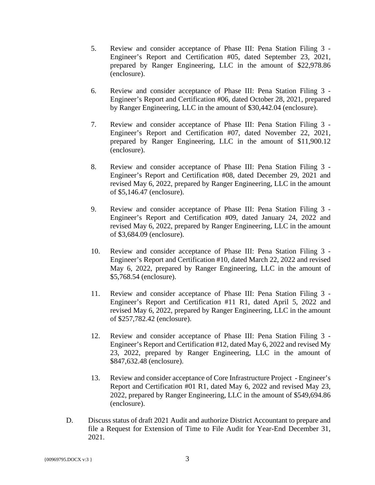- 5. Review and consider acceptance of Phase III: Pena Station Filing 3 Engineer's Report and Certification #05, dated September 23, 2021, prepared by Ranger Engineering, LLC in the amount of \$22,978.86 (enclosure).
- 6. Review and consider acceptance of Phase III: Pena Station Filing 3 Engineer's Report and Certification #06, dated October 28, 2021, prepared by Ranger Engineering, LLC in the amount of \$30,442.04 (enclosure).
- 7. Review and consider acceptance of Phase III: Pena Station Filing 3 Engineer's Report and Certification #07, dated November 22, 2021, prepared by Ranger Engineering, LLC in the amount of \$11,900.12 (enclosure).
- 8. Review and consider acceptance of Phase III: Pena Station Filing 3 Engineer's Report and Certification #08, dated December 29, 2021 and revised May 6, 2022, prepared by Ranger Engineering, LLC in the amount of \$5,146.47 (enclosure).
- 9. Review and consider acceptance of Phase III: Pena Station Filing 3 Engineer's Report and Certification #09, dated January 24, 2022 and revised May 6, 2022, prepared by Ranger Engineering, LLC in the amount of \$3,684.09 (enclosure).
- 10. Review and consider acceptance of Phase III: Pena Station Filing 3 Engineer's Report and Certification #10, dated March 22, 2022 and revised May 6, 2022, prepared by Ranger Engineering, LLC in the amount of \$5,768.54 (enclosure).
- 11. Review and consider acceptance of Phase III: Pena Station Filing 3 Engineer's Report and Certification #11 R1, dated April 5, 2022 and revised May 6, 2022, prepared by Ranger Engineering, LLC in the amount of \$257,782.42 (enclosure).
- 12. Review and consider acceptance of Phase III: Pena Station Filing 3 Engineer's Report and Certification #12, dated May 6, 2022 and revised My 23, 2022, prepared by Ranger Engineering, LLC in the amount of \$847,632.48 (enclosure).
- 13. Review and consider acceptance of Core Infrastructure Project Engineer's Report and Certification #01 R1, dated May 6, 2022 and revised May 23, 2022, prepared by Ranger Engineering, LLC in the amount of \$549,694.86 (enclosure).
- D. Discuss status of draft 2021 Audit and authorize District Accountant to prepare and file a Request for Extension of Time to File Audit for Year-End December 31, 2021.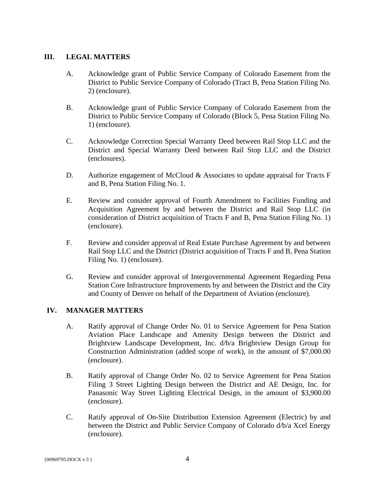## **III. LEGAL MATTERS**

- A. Acknowledge grant of Public Service Company of Colorado Easement from the District to Public Service Company of Colorado (Tract B, Pena Station Filing No. 2) (enclosure).
- B. Acknowledge grant of Public Service Company of Colorado Easement from the District to Public Service Company of Colorado (Block 5, Pena Station Filing No. 1) (enclosure).
- C. Acknowledge Correction Special Warranty Deed between Rail Stop LLC and the District and Special Warranty Deed between Rail Stop LLC and the District (enclosures).
- D. Authorize engagement of McCloud & Associates to update appraisal for Tracts F and B, Pena Station Filing No. 1.
- E. Review and consider approval of Fourth Amendment to Facilities Funding and Acquisition Agreement by and between the District and Rail Stop LLC (in consideration of District acquisition of Tracts F and B, Pena Station Filing No. 1) (enclosure).
- F. Review and consider approval of Real Estate Purchase Agreement by and between Rail Stop LLC and the District (District acquisition of Tracts F and B, Pena Station Filing No. 1) (enclosure).
- G. Review and consider approval of Intergovernmental Agreement Regarding Pena Station Core Infrastructure Improvements by and between the District and the City and County of Denver on behalf of the Department of Aviation (enclosure).

# **IV. MANAGER MATTERS**

- A. Ratify approval of Change Order No. 01 to Service Agreement for Pena Station Aviation Place Landscape and Amenity Design between the District and Brightview Landscape Development, Inc. d/b/a Brightview Design Group for Construction Administration (added scope of work), in the amount of \$7,000.00 (enclosure).
- B. Ratify approval of Change Order No. 02 to Service Agreement for Pena Station Filing 3 Street Lighting Design between the District and AE Design, Inc. for Panasonic Way Street Lighting Electrical Design, in the amount of \$3,900.00 (enclosure).
- C. Ratify approval of On-Site Distribution Extension Agreement (Electric) by and between the District and Public Service Company of Colorado d/b/a Xcel Energy (enclosure).